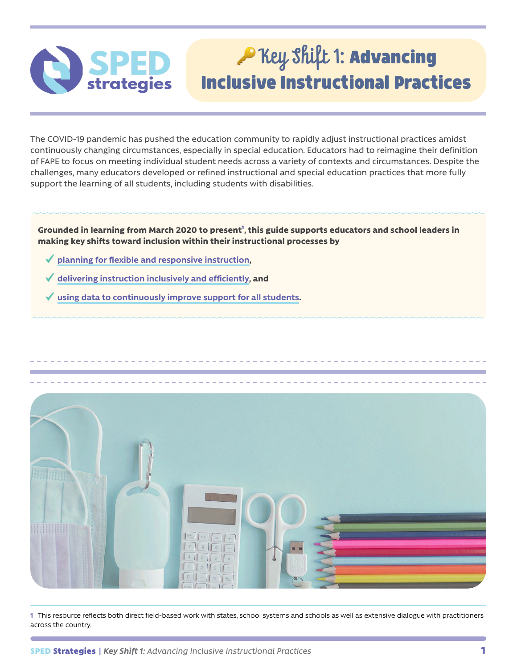## P Key Shift 1: Advancing Inclusive Instructional Practices

The COVID-19 pandemic has pushed the education community to rapidly adjust instructional practices amidst continuously changing circumstances, especially in special education. Educators had to reimagine their definition of FAPE to focus on meeting individual student needs across a variety of contexts and circumstances. Despite the challenges, many educators developed or refined instructional and special education practices that more fully support the learning of all students, including students with disabilities.

**Grounded in learning from March 2020 to present**<sup>1</sup> **, this guide supports educators and school leaders in making key shifts toward inclusion within their instructional processes by** 

**[planning for flexible and responsive instruction](#page-1-0),**

**Strategies** 

- **[delivering instruction inclusively and efficiently](#page-3-0), and**
- **[using data to continuously improve support for all students](#page-6-0).**



**1** This resource reflects both direct field-based work with states, school systems and schools as well as extensive dialogue with practitioners across the country.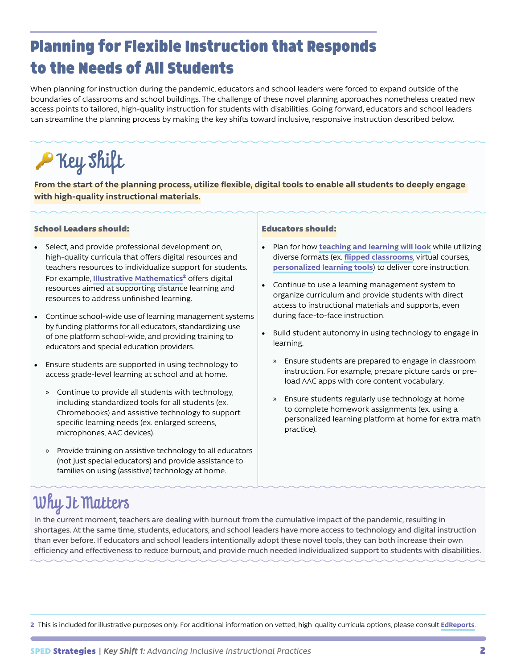### <span id="page-1-0"></span>Planning for Flexible Instruction that Responds to the Needs of All Students

When planning for instruction during the pandemic, educators and school leaders were forced to expand outside of the boundaries of classrooms and school buildings. The challenge of these novel planning approaches nonetheless created new access points to tailored, high-quality instruction for students with disabilities. Going forward, educators and school leaders can streamline the planning process by making the key shifts toward inclusive, responsive instruction described below.

# **P** Key Shift

**From the start of the planning process, utilize flexible, digital tools to enable all students to deeply engage with high-quality instructional materials.**

### School Leaders should:

- Select, and provide professional development on, high-quality curricula that offers digital resources and teachers resources to individualize support for students. For example, **[Illustrative Mathematics](https://illustrativemathematics.org/community-hub/)**<sup>2</sup> offers digital resources aimed at supporting distance learning and resources to address unfinished learning.
- Continue school-wide use of learning management systems by funding platforms for all educators, standardizing use of one platform school-wide, and providing training to educators and special education providers.
- Ensure students are supported in using technology to access grade-level learning at school and at home.
	- » Continue to provide all students with technology, including standardized tools for all students (ex. Chromebooks) and assistive technology to support specific learning needs (ex. enlarged screens, microphones, AAC devices).
	- » Provide training on assistive technology to all educators (not just special educators) and provide assistance to families on using (assistive) technology at home.

### Educators should:

- Plan for how **[teaching and learning will look](https://teachlikeachampion.com/blog/tlac-2-0-excerpt-double-planning/)** while utilizing diverse formats (ex. **[flipped classrooms](https://www.schoology.com/blog/flipped-classroom)**, virtual courses, **[personalized learning tools](https://achievethecore.org/peersandpedagogy/three-apps-support-students-special-needs/)**) to deliver core instruction.
- Continue to use a learning management system to organize curriculum and provide students with direct access to instructional materials and supports, even during face-to-face instruction.
- Build student autonomy in using technology to engage in learning.
	- » Ensure students are prepared to engage in classroom instruction. For example, prepare picture cards or preload AAC apps with core content vocabulary.
	- » Ensure students regularly use technology at home to complete homework assignments (ex. using a personalized learning platform at home for extra math practice).

## Why It Matters

In the current moment, teachers are dealing with burnout from the cumulative impact of the pandemic, resulting in shortages. At the same time, students, educators, and school leaders have more access to technology and digital instruction than ever before. If educators and school leaders intentionally adopt these novel tools, they can both increase their own efficiency and effectiveness to reduce burnout, and provide much needed individualized support to students with disabilities.

**2** This is included for illustrative purposes only. For additional information on vetted, high-quality curricula options, please consult **[EdReports](http://edreports.org)**.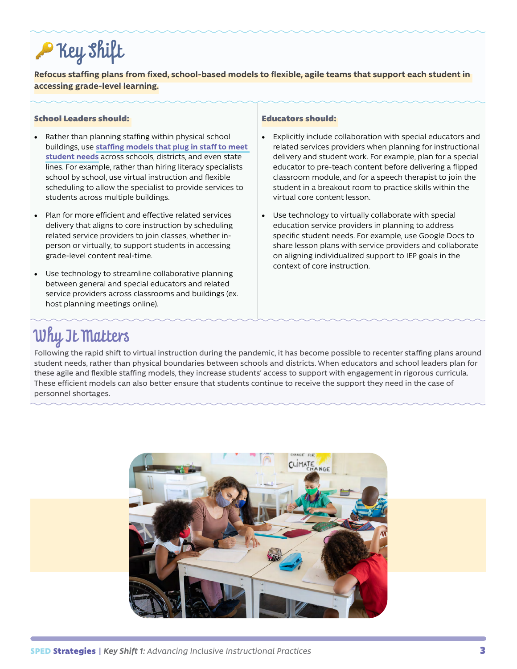# **P** Key Shift

**Refocus staffing plans from fixed, school-based models to flexible, agile teams that support each student in accessing grade-level learning.**

### School Leaders should:

- Rather than planning staffing within physical school buildings, use **[staffing models that plug in staff to meet](https://www.edweek.org/leadership/how-schools-can-redeploy-teachers-in-creative-ways-during-covid-19/2020/08)  [student needs](https://www.edweek.org/leadership/how-schools-can-redeploy-teachers-in-creative-ways-during-covid-19/2020/08)** across schools, districts, and even state lines. For example, rather than hiring literacy specialists school by school, use virtual instruction and flexible scheduling to allow the specialist to provide services to students across multiple buildings.
- Plan for more efficient and effective related services delivery that aligns to core instruction by scheduling related service providers to join classes, whether inperson or virtually, to support students in accessing grade-level content real-time.
- Use technology to streamline collaborative planning between general and special educators and related service providers across classrooms and buildings (ex. host planning meetings online).

#### Educators should:

- Explicitly include collaboration with special educators and related services providers when planning for instructional delivery and student work. For example, plan for a special educator to pre-teach content before delivering a flipped classroom module, and for a speech therapist to join the student in a breakout room to practice skills within the virtual core content lesson.
- Use technology to virtually collaborate with special education service providers in planning to address specific student needs. For example, use Google Docs to share lesson plans with service providers and collaborate on aligning individualized support to IEP goals in the context of core instruction.

### Why It Matters

Following the rapid shift to virtual instruction during the pandemic, it has become possible to recenter staffing plans around student needs, rather than physical boundaries between schools and districts. When educators and school leaders plan for these agile and flexible staffing models, they increase students' access to support with engagement in rigorous curricula. These efficient models can also better ensure that students continue to receive the support they need in the case of personnel shortages.

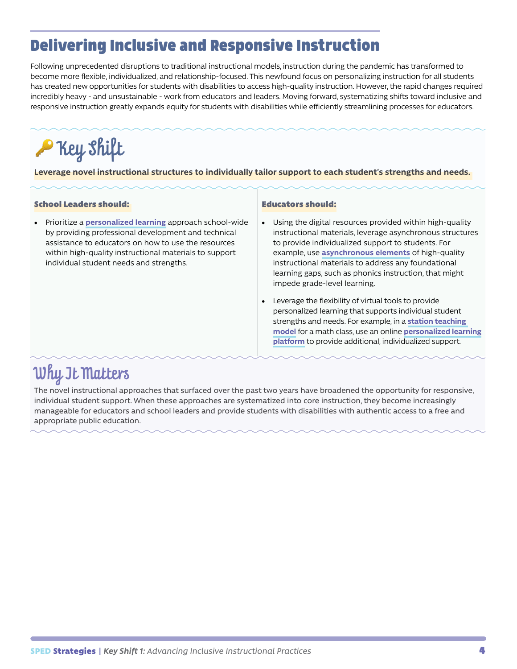### <span id="page-3-0"></span>Delivering Inclusive and Responsive Instruction

Following unprecedented disruptions to traditional instructional models, instruction during the pandemic has transformed to become more flexible, individualized, and relationship-focused. This newfound focus on personalizing instruction for all students has created new opportunities for students with disabilities to access high-quality instruction. However, the rapid changes required incredibly heavy - and unsustainable - work from educators and leaders. Moving forward, systematizing shifts toward inclusive and responsive instruction greatly expands equity for students with disabilities while efficiently streamlining processes for educators.

## **P** Key Shilt

**Leverage novel instructional structures to individually tailor support to each student's strengths and needs.** 

### School Leaders should:

• Prioritize a **[personalized learning](https://www.understood.org/articles/en/personalized-learning-what-you-need-to-know)** approach school-wide by providing professional development and technical assistance to educators on how to use the resources within high-quality instructional materials to support individual student needs and strengths.

#### Educators should:

- Using the digital resources provided within high-quality instructional materials, leverage asynchronous structures to provide individualized support to students. For example, use **[asynchronous elements](http://go.info.amplify.com/fy20_cklak5_fall2020_national_foundationalskills_getintouchoption_othercontent?utm_campaign=20200817_FY20_CKLAK5_fall2020_National_foundationalskills_boostskills_National&utm_medium=mailchimp&utm_source=mdr)** of high-quality instructional materials to address any foundational learning gaps, such as phonics instruction, that might impede grade-level learning.
- Leverage the flexibility of virtual tools to provide personalized learning that supports individual student strengths and needs. For example, in a **[station teaching](https://edu240coteaching.wordpress.com/what-does-co-teaching-look-like/)  [model](https://edu240coteaching.wordpress.com/what-does-co-teaching-look-like/)** for a math class, use an online **[personalized learning](https://www.ixl.com/) [platform](https://www.ixl.com/)** to provide additional, individualized support.

### Why It Matters

The novel instructional approaches that surfaced over the past two years have broadened the opportunity for responsive, individual student support. When these approaches are systematized into core instruction, they become increasingly manageable for educators and school leaders and provide students with disabilities with authentic access to a free and appropriate public education.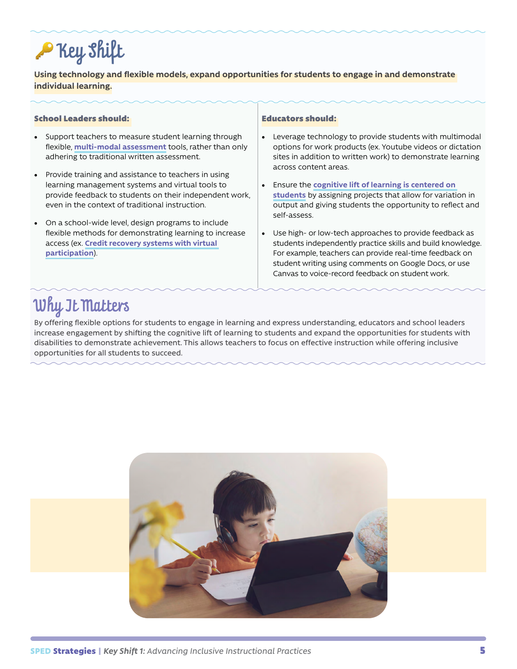# **P** Key shift

**Using technology and flexible models, expand opportunities for students to engage in and demonstrate individual learning.**

### School Leaders should:

- Support teachers to measure student learning through flexible, **[multi-modal assessment](https://www.gettingsmart.com/2019/04/26/5-classroom-strategies-to-support-multimodal-learning/)** tools, rather than only adhering to traditional written assessment.
- Provide training and assistance to teachers in using learning management systems and virtual tools to provide feedback to students on their independent work, even in the context of traditional instruction.
- On a school-wide level, design programs to include flexible methods for demonstrating learning to increase access (ex. **[Credit recovery systems with virtual](https://michiganvirtual.org/students/essentials/)  [participation](https://michiganvirtual.org/students/essentials/)**).

#### Educators should:

- Leverage technology to provide students with multimodal options for work products (ex. Youtube videos or dictation sites in addition to written work) to demonstrate learning across content areas.
- Ensure the **[cognitive lift of learning is centered on](https://achievethecore.org/page/3252/who-s-doing-the-work-classroom-strategies)  [students](https://achievethecore.org/page/3252/who-s-doing-the-work-classroom-strategies)** by assigning projects that allow for variation in output and giving students the opportunity to reflect and self-assess.
- Use high- or low-tech approaches to provide feedback as students independently practice skills and build knowledge. For example, teachers can provide real-time feedback on student writing using comments on Google Docs, or use Canvas to voice-record feedback on student work.

### Why It Matters

By offering flexible options for students to engage in learning and express understanding, educators and school leaders increase engagement by shifting the cognitive lift of learning to students and expand the opportunities for students with disabilities to demonstrate achievement. This allows teachers to focus on effective instruction while offering inclusive opportunities for all students to succeed.

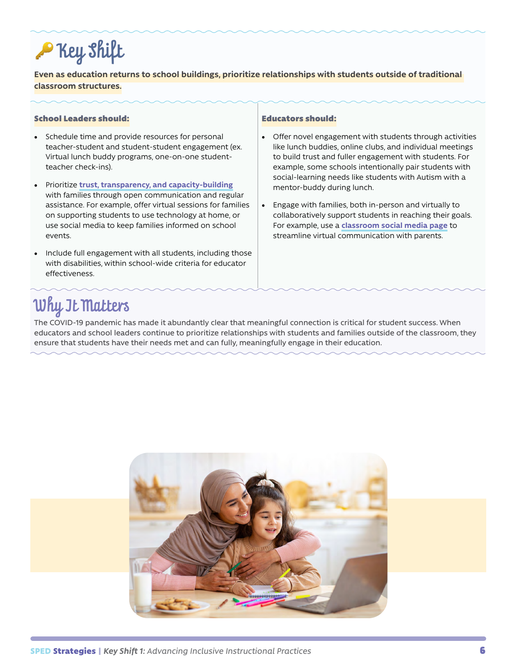# **P** Key Shift

**Even as education returns to school buildings, prioritize relationships with students outside of traditional classroom structures.**

### School Leaders should:

- Schedule time and provide resources for personal teacher-student and student-student engagement (ex. Virtual lunch buddy programs, one-on-one studentteacher check-ins).
- Prioritize **[trust, transparency, and capacity-building](https://edtrust.org/the-equity-line/family-engagement-is-key-for-student-success-during-covid-19-recovery-and-beyond/)** with families through open communication and regular assistance. For example, offer virtual sessions for families on supporting students to use technology at home, or use social media to keep families informed on school events.
- Include full engagement with all students, including those with disabilities, within school-wide criteria for educator effectiveness.

#### Educators should:

- Offer novel engagement with students through activities like lunch buddies, online clubs, and individual meetings to build trust and fuller engagement with students. For example, some schools intentionally pair students with social-learning needs like students with Autism with a mentor-buddy during lunch.
- Engage with families, both in-person and virtually to collaboratively support students in reaching their goals. For example, use a **[classroom social media page](https://www.edutopia.org/blog/engaging-school-community-social-media-howard-stribbell)** to streamline virtual communication with parents.

### Why It Matters

The COVID-19 pandemic has made it abundantly clear that meaningful connection is critical for student success. When educators and school leaders continue to prioritize relationships with students and families outside of the classroom, they ensure that students have their needs met and can fully, meaningfully engage in their education.